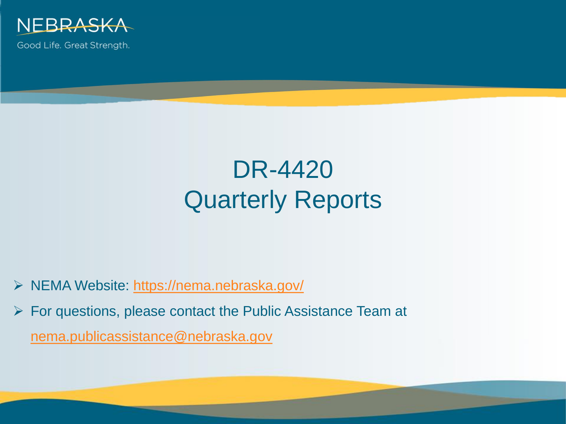

Good Life. Great Strength.

# DR-4420 Quarterly Reports

- NEMA Website:<https://nema.nebraska.gov/>
- $\triangleright$  For questions, please contact the Public Assistance Team at [nema.publicassistance@nebraska.gov](mailto:nema.publicassistance@nebraska.gov)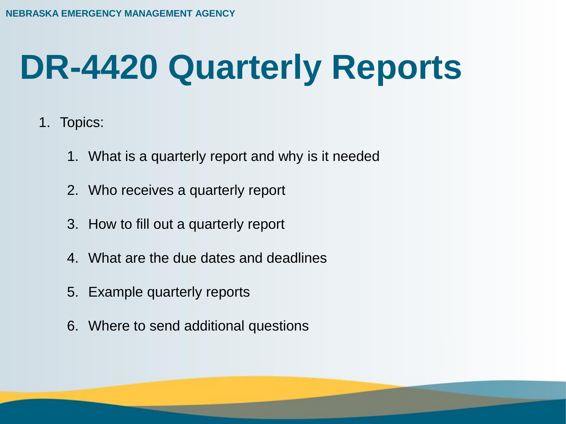# **DR-4420 Quarterly Reports**

- 1. Topics:
	- 1. What is a quarterly report and why is it needed
	- 2. Who receives a quarterly report
	- 3. How to fill out a quarterly report
	- 4. What are the due dates and deadlines
	- 5. Example quarterly reports
	- 6. Where to send additional questions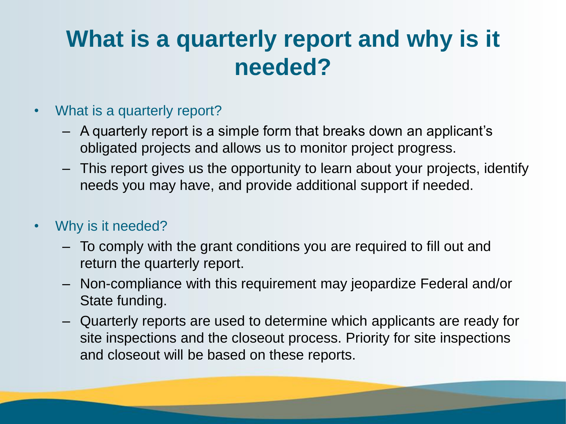## **What is a quarterly report and why is it needed?**

- What is a quarterly report?
	- A quarterly report is a simple form that breaks down an applicant's obligated projects and allows us to monitor project progress.
	- This report gives us the opportunity to learn about your projects, identify needs you may have, and provide additional support if needed.
- Why is it needed?
	- To comply with the grant conditions you are required to fill out and return the quarterly report.
	- Non-compliance with this requirement may jeopardize Federal and/or State funding.
	- Quarterly reports are used to determine which applicants are ready for site inspections and the closeout process. Priority for site inspections and closeout will be based on these reports.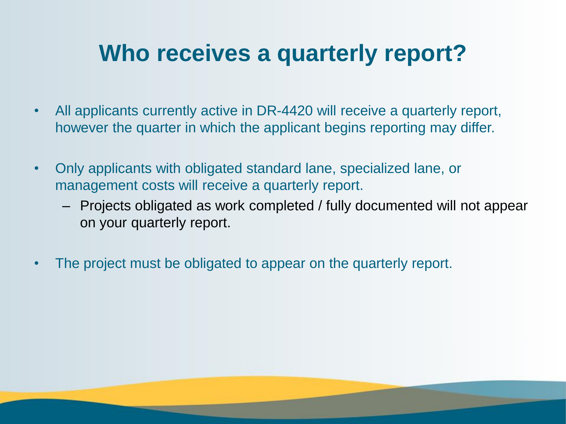### **Who receives a quarterly report?**

- All applicants currently active in DR-4420 will receive a quarterly report, however the quarter in which the applicant begins reporting may differ.
- Only applicants with obligated standard lane, specialized lane, or management costs will receive a quarterly report.
	- Projects obligated as work completed / fully documented will not appear on your quarterly report.
- The project must be obligated to appear on the quarterly report.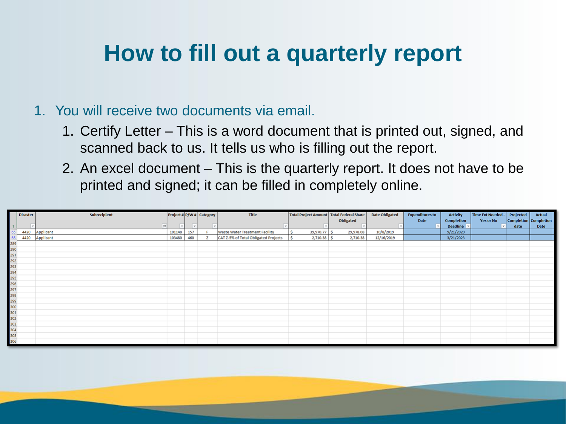## **How to fill out a quarterly report**

#### 1. You will receive two documents via email.

- 1. Certify Letter This is a word document that is printed out, signed, and scanned back to us. It tells us who is filling out the report.
- 2. An excel document This is the quarterly report. It does not have to be printed and signed; it can be filled in completely online.

|    | <b>Disaster</b> | <b>Subrecipient</b> |        |     | Project # P/W # Category | Title                                 | Total Project Amount   Total Federal Share |                  | <b>Date Obligated</b> | <b>Expenditures to</b> | <b>Activity</b>   | Time Ext Needed - | Projected             | Actual      |
|----|-----------------|---------------------|--------|-----|--------------------------|---------------------------------------|--------------------------------------------|------------------|-----------------------|------------------------|-------------------|-------------------|-----------------------|-------------|
|    |                 |                     |        |     |                          |                                       |                                            | <b>Obligated</b> |                       | Date                   | <b>Completion</b> | <b>Yes or No</b>  | Completion Completion |             |
|    | ۰.              | $ \mathbf{T} $      | l w    |     |                          | $\mathbf{v}$                          |                                            |                  |                       |                        | Deadline v        |                   | date                  | <b>Date</b> |
| 65 | 4420            | Applicant           | 101148 | 157 |                          | <b>Waste Water Treatment Facility</b> | Ś<br>39,970.77                             | 29,978.08<br>-S  | 10/8/2019             |                        | 9/21/2020         |                   |                       |             |
| 66 | 4420            | Applicant           | 103480 | 460 |                          | CAT Z-5% of Total Obligated Projects  | 2,710.38<br>Ŝ                              | 2,710.38         | 12/16/2019            |                        | 3/21/2023         |                   |                       |             |
|    |                 |                     |        |     |                          |                                       |                                            |                  |                       |                        |                   |                   |                       |             |
|    |                 |                     |        |     |                          |                                       |                                            |                  |                       |                        |                   |                   |                       |             |
|    |                 |                     |        |     |                          |                                       |                                            |                  |                       |                        |                   |                   |                       |             |
|    |                 |                     |        |     |                          |                                       |                                            |                  |                       |                        |                   |                   |                       |             |
|    |                 |                     |        |     |                          |                                       |                                            |                  |                       |                        |                   |                   |                       |             |
|    |                 |                     |        |     |                          |                                       |                                            |                  |                       |                        |                   |                   |                       |             |
|    |                 |                     |        |     |                          |                                       |                                            |                  |                       |                        |                   |                   |                       |             |
|    |                 |                     |        |     |                          |                                       |                                            |                  |                       |                        |                   |                   |                       |             |
|    |                 |                     |        |     |                          |                                       |                                            |                  |                       |                        |                   |                   |                       |             |
|    |                 |                     |        |     |                          |                                       |                                            |                  |                       |                        |                   |                   |                       |             |
|    |                 |                     |        |     |                          |                                       |                                            |                  |                       |                        |                   |                   |                       |             |
|    |                 |                     |        |     |                          |                                       |                                            |                  |                       |                        |                   |                   |                       |             |
|    |                 |                     |        |     |                          |                                       |                                            |                  |                       |                        |                   |                   |                       |             |
|    |                 |                     |        |     |                          |                                       |                                            |                  |                       |                        |                   |                   |                       |             |
|    |                 |                     |        |     |                          |                                       |                                            |                  |                       |                        |                   |                   |                       |             |
|    |                 |                     |        |     |                          |                                       |                                            |                  |                       |                        |                   |                   |                       |             |
|    |                 |                     |        |     |                          |                                       |                                            |                  |                       |                        |                   |                   |                       |             |
|    |                 |                     |        |     |                          |                                       |                                            |                  |                       |                        |                   |                   |                       |             |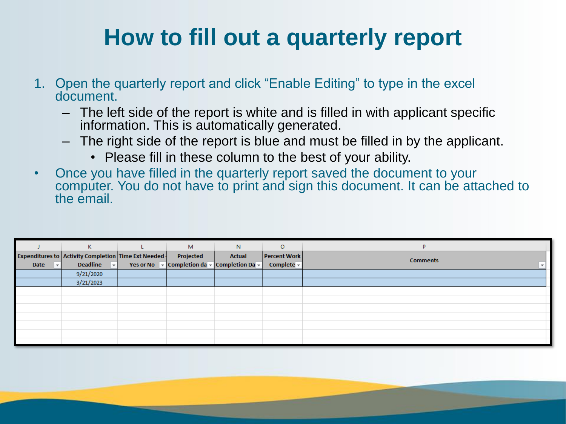# **How to fill out a quarterly report**

- 1. Open the quarterly report and click "Enable Editing" to type in the excel document.
	- The left side of the report is white and is filled in with applicant specific information. This is automatically generated.
	- The right side of the report is blue and must be filled in by the applicant.
		- Please fill in these column to the best of your ability.
- Once you have filled in the quarterly report saved the document to your computer. You do not have to print and sign this document. It can be attached to the email.

|           | K                                                   | M         | N                                                                                                             | $\circ$             | D               |
|-----------|-----------------------------------------------------|-----------|---------------------------------------------------------------------------------------------------------------|---------------------|-----------------|
|           | Expenditures to Activity Completion Time Ext Needed | Projected | <b>Actual</b>                                                                                                 | <b>Percent Work</b> | <b>Comments</b> |
| Date<br>ы | <b>Deadline</b><br>$\vert \cdot \vert$              |           | Yes or No $\overline{\mathbf{v}}$ Completion da $\overline{\mathbf{v}}$ Completion Da $\overline{\mathbf{v}}$ | Complete $\sim$     |                 |
|           | 9/21/2020                                           |           |                                                                                                               |                     |                 |
|           | 3/21/2023                                           |           |                                                                                                               |                     |                 |
|           |                                                     |           |                                                                                                               |                     |                 |
|           |                                                     |           |                                                                                                               |                     |                 |
|           |                                                     |           |                                                                                                               |                     |                 |
|           |                                                     |           |                                                                                                               |                     |                 |
|           |                                                     |           |                                                                                                               |                     |                 |
|           |                                                     |           |                                                                                                               |                     |                 |
|           |                                                     |           |                                                                                                               |                     |                 |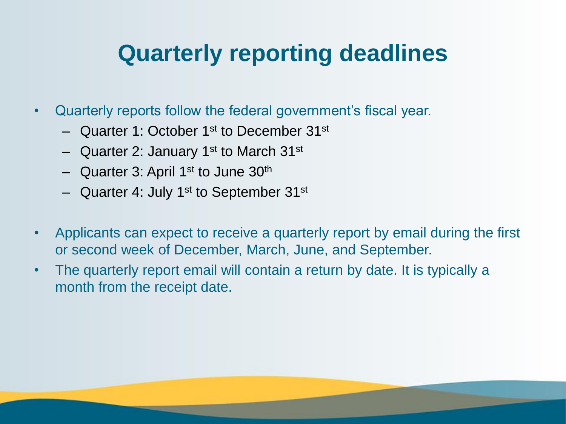### **Quarterly reporting deadlines**

- Quarterly reports follow the federal government's fiscal year.
	- Quarter 1: October 1st to December 31st
	- Quarter 2: January 1<sup>st</sup> to March 31<sup>st</sup>
	- $-$  Quarter 3: April 1<sup>st</sup> to June 30<sup>th</sup>
	- $-$  Quarter 4: July 1<sup>st</sup> to September 31<sup>st</sup>
- Applicants can expect to receive a quarterly report by email during the first or second week of December, March, June, and September.
- The quarterly report email will contain a return by date. It is typically a month from the receipt date.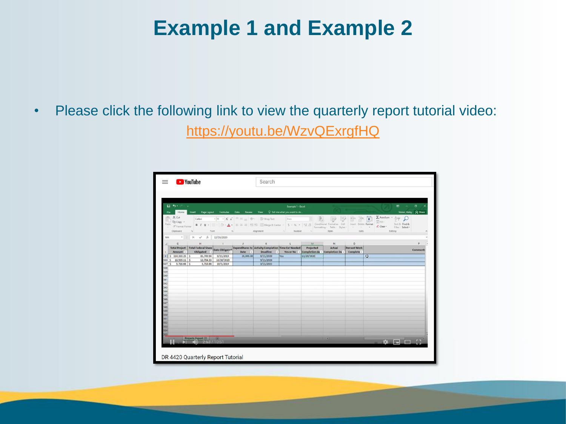### **Example 1 and Example 2**

• Please click the following link to view the quarterly report tutorial video: <https://youtu.be/WzvQExrgfHQ>

|             | $B = 5 - 3 - 1$             |                                               |                           |           | $m = -0$<br>Example 1 - Excel                                                                                                          |                |            |                                                       |                                   |                                                                              |                |  |
|-------------|-----------------------------|-----------------------------------------------|---------------------------|-----------|----------------------------------------------------------------------------------------------------------------------------------------|----------------|------------|-------------------------------------------------------|-----------------------------------|------------------------------------------------------------------------------|----------------|--|
| File:       |                             |                                               |                           |           | Home Insert Page Layout Formulas Data Review View Q Tell mewhat you want to do                                                         |                |            | Stoker, Haley & Share                                 |                                   |                                                                              |                |  |
|             | $X$ Cut<br><b>In Copy</b> - |                                               |                           |           |                                                                                                                                        |                |            |                                                       | FX                                | $\Sigma$ AutoSum · $\frac{\wedge \psi}{2}$<br>薗<br>$\sqrt{\frac{1}{2}}$ Fit. |                |  |
| Factor      | of Format Painter           |                                               |                           |           |                                                                                                                                        |                |            |                                                       |                                   | Sort & Find &<br>Filter - Select +                                           |                |  |
|             | Clipboard                   | Ford Ford                                     |                           |           | 4 Alignment 1 Number 1                                                                                                                 |                |            | Shies                                                 | Cells                             | Editing                                                                      |                |  |
| M4          |                             | $\star$   $\times$ $\checkmark$ fr 12/20/2020 |                           |           |                                                                                                                                        |                |            |                                                       |                                   |                                                                              |                |  |
|             | G                           | H.                                            | $\mathbb{R}$ $\mathbb{R}$ |           | $J$ $K$                                                                                                                                | The California | M          | N                                                     | $\circ$                           |                                                                              | P              |  |
|             | Amount -                    | Obligated -                                   |                           | Date -    | Total Project Total Federal Share Date Obligated Expenditures to Activity Completion Time Ext Needed Projected<br><b>Deadline</b><br>ь |                |            | Actual<br>Yes or No - Completion da - Completion Da - | <b>Percent Work</b><br>Complete - |                                                                              | <b>Comment</b> |  |
|             | $$114,333.25$ $$$           | 85,749.94                                     | 9/23/2019                 | 20,000.00 | 9/21/2020                                                                                                                              | Yes.           | 12/20/2020 |                                                       |                                   | $\circ$                                                                      |                |  |
|             | 535 \$ 16,939.11 \$         | 12,704.33                                     | 10/30/2019                |           | 9/21/2020                                                                                                                              |                |            |                                                       |                                   |                                                                              |                |  |
| 537S<br>538 | 5,716.66 \$                 | 5,716.66                                      | 10/5/2019                 |           | 3/21/2023                                                                                                                              |                |            |                                                       |                                   |                                                                              |                |  |
| 539         |                             |                                               |                           |           |                                                                                                                                        |                |            |                                                       |                                   |                                                                              |                |  |
| 540         |                             |                                               |                           |           |                                                                                                                                        |                |            |                                                       |                                   |                                                                              |                |  |
| 国以识别说法      |                             |                                               |                           |           |                                                                                                                                        |                |            |                                                       |                                   |                                                                              |                |  |
|             |                             |                                               |                           |           |                                                                                                                                        |                |            |                                                       |                                   |                                                                              |                |  |
|             |                             |                                               |                           |           |                                                                                                                                        |                |            |                                                       |                                   |                                                                              |                |  |
|             |                             |                                               |                           |           |                                                                                                                                        |                |            |                                                       |                                   |                                                                              |                |  |
|             |                             |                                               |                           |           |                                                                                                                                        |                |            |                                                       |                                   |                                                                              |                |  |
|             |                             |                                               |                           |           |                                                                                                                                        |                |            |                                                       |                                   |                                                                              |                |  |
|             |                             |                                               |                           |           |                                                                                                                                        |                |            |                                                       |                                   |                                                                              |                |  |
| 549         |                             |                                               |                           |           |                                                                                                                                        |                |            |                                                       |                                   |                                                                              |                |  |
| 550         |                             |                                               |                           |           |                                                                                                                                        |                |            |                                                       |                                   |                                                                              |                |  |
| 551         |                             |                                               |                           |           |                                                                                                                                        |                |            |                                                       |                                   |                                                                              |                |  |
| 552         |                             |                                               |                           |           |                                                                                                                                        |                |            |                                                       |                                   |                                                                              |                |  |
| 553<br>84   |                             |                                               |                           |           |                                                                                                                                        |                |            |                                                       |                                   |                                                                              |                |  |
|             |                             |                                               |                           |           |                                                                                                                                        |                |            |                                                       |                                   |                                                                              |                |  |
|             |                             | Project (a) $(2.53 / 10.51)$                  |                           |           |                                                                                                                                        |                |            |                                                       |                                   |                                                                              |                |  |